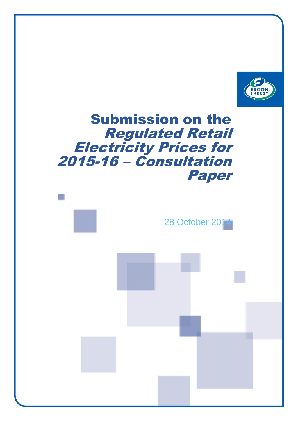

# Submission on the Regulated Retail Electricity Prices for 2015-16 – Consultation Paper

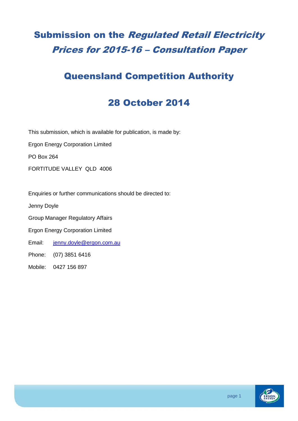## Submission on the Regulated Retail Electricity Prices for 2015-16 – Consultation Paper

#### Queensland Competition Authority

### 28 October 2014

This submission, which is available for publication, is made by:

Ergon Energy Corporation Limited

PO Box 264

FORTITUDE VALLEY QLD 4006

Enquiries or further communications should be directed to:

Jenny Doyle

Group Manager Regulatory Affairs

Ergon Energy Corporation Limited

Email: [jenny.doyle@ergon.com.au](mailto:jenny.doyle@ergon.com.au)

Phone: (07) 3851 6416

Mobile: 0427 156 897

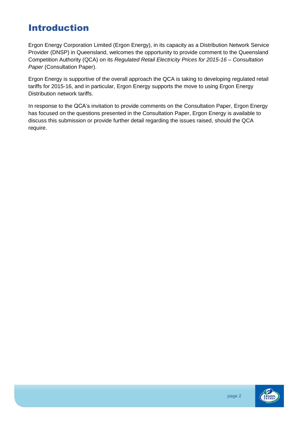### Introduction

Ergon Energy Corporation Limited (Ergon Energy), in its capacity as a Distribution Network Service Provider (DNSP) in Queensland, welcomes the opportunity to provide comment to the Queensland Competition Authority (QCA) on its *Regulated Retail Electricity Prices for 2015-16 – Consultation Paper* (Consultation Paper).

Ergon Energy is supportive of the overall approach the QCA is taking to developing regulated retail tariffs for 2015-16, and in particular, Ergon Energy supports the move to using Ergon Energy Distribution network tariffs.

In response to the QCA's invitation to provide comments on the Consultation Paper, Ergon Energy has focused on the questions presented in the Consultation Paper, Ergon Energy is available to discuss this submission or provide further detail regarding the issues raised, should the QCA require.

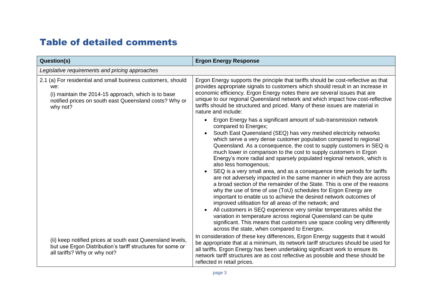### Table of detailed comments

| <b>Question(s)</b>                                                                                                                                                                               | <b>Ergon Energy Response</b>                                                                                                                                                                                                                                                                                                                                                                                                                                                                                                                                                                                                                                                                                                                                                                                                                                                                                                                                                                                                                                                                                                                                                                   |  |
|--------------------------------------------------------------------------------------------------------------------------------------------------------------------------------------------------|------------------------------------------------------------------------------------------------------------------------------------------------------------------------------------------------------------------------------------------------------------------------------------------------------------------------------------------------------------------------------------------------------------------------------------------------------------------------------------------------------------------------------------------------------------------------------------------------------------------------------------------------------------------------------------------------------------------------------------------------------------------------------------------------------------------------------------------------------------------------------------------------------------------------------------------------------------------------------------------------------------------------------------------------------------------------------------------------------------------------------------------------------------------------------------------------|--|
| Legislative requirements and pricing approaches                                                                                                                                                  |                                                                                                                                                                                                                                                                                                                                                                                                                                                                                                                                                                                                                                                                                                                                                                                                                                                                                                                                                                                                                                                                                                                                                                                                |  |
| 2.1 (a) For residential and small business customers, should<br>we:<br>(i) maintain the 2014-15 approach, which is to base<br>notified prices on south east Queensland costs? Why or<br>why not? | Ergon Energy supports the principle that tariffs should be cost-reflective as that<br>provides appropriate signals to customers which should result in an increase in<br>economic efficiency. Ergon Energy notes there are several issues that are<br>unique to our regional Queensland network and which impact how cost-reflective<br>tariffs should be structured and priced. Many of these issues are material in<br>nature and include:                                                                                                                                                                                                                                                                                                                                                                                                                                                                                                                                                                                                                                                                                                                                                   |  |
|                                                                                                                                                                                                  | Ergon Energy has a significant amount of sub-transmission network<br>compared to Energex;<br>South East Queensland (SEQ) has very meshed electricity networks<br>which serve a very dense customer population compared to regional<br>Queensland. As a consequence, the cost to supply customers in SEQ is<br>much lower in comparison to the cost to supply customers in Ergon<br>Energy's more radial and sparsely populated regional network, which is<br>also less homogenous;<br>SEQ is a very small area, and as a consequence time periods for tariffs<br>are not adversely impacted in the same manner in which they are across<br>a broad section of the remainder of the State. This is one of the reasons<br>why the use of time of use (ToU) schedules for Ergon Energy are<br>important to enable us to achieve the desired network outcomes of<br>improved utilisation for all areas of the network; and<br>All customers in SEQ experience very similar temperatures whilst the<br>variation in temperature across regional Queensland can be quite<br>significant. This means that customers use space cooling very differently<br>across the state, when compared to Energex. |  |
| (ii) keep notified prices at south east Queensland levels,<br>but use Ergon Distribution's tariff structures for some or<br>all tariffs? Why or why not?                                         | In consideration of these key differences, Ergon Energy suggests that it would<br>be appropriate that at a minimum, its network tariff structures should be used for<br>all tariffs. Ergon Energy has been undertaking significant work to ensure its<br>network tariff structures are as cost reflective as possible and these should be<br>reflected in retail prices.                                                                                                                                                                                                                                                                                                                                                                                                                                                                                                                                                                                                                                                                                                                                                                                                                       |  |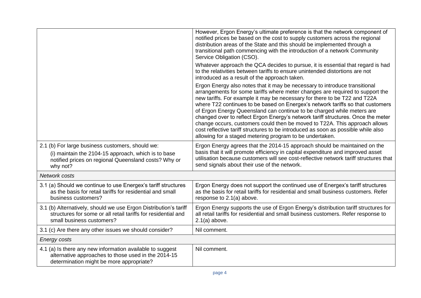|                                                                                                                                                                             | However, Ergon Energy's ultimate preference is that the network component of<br>notified prices be based on the cost to supply customers across the regional<br>distribution areas of the State and this should be implemented through a<br>transitional path commencing with the introduction of a network Community<br>Service Obligation (CSO).                                                                                                                                                                                                                                                                                                                                                                      |  |
|-----------------------------------------------------------------------------------------------------------------------------------------------------------------------------|-------------------------------------------------------------------------------------------------------------------------------------------------------------------------------------------------------------------------------------------------------------------------------------------------------------------------------------------------------------------------------------------------------------------------------------------------------------------------------------------------------------------------------------------------------------------------------------------------------------------------------------------------------------------------------------------------------------------------|--|
|                                                                                                                                                                             | Whatever approach the QCA decides to pursue, it is essential that regard is had<br>to the relativities between tariffs to ensure unintended distortions are not<br>introduced as a result of the approach taken.                                                                                                                                                                                                                                                                                                                                                                                                                                                                                                        |  |
|                                                                                                                                                                             | Ergon Energy also notes that it may be necessary to introduce transitional<br>arrangements for some tariffs where meter changes are required to support the<br>new tariffs. For example it may be necessary for there to be T22 and T22A<br>where T22 continues to be based on Energex's network tariffs so that customers<br>of Ergon Energy Queensland can continue to be charged while meters are<br>changed over to reflect Ergon Energy's network tariff structures. Once the meter<br>change occurs, customers could then be moved to T22A. This approach allows<br>cost reflective tariff structures to be introduced as soon as possible while also<br>allowing for a staged metering program to be undertaken. |  |
| 2.1 (b) For large business customers, should we:<br>(i) maintain the 2104-15 approach, which is to base<br>notified prices on regional Queensland costs? Why or<br>why not? | Ergon Energy agrees that the 2014-15 approach should be maintained on the<br>basis that it will promote efficiency in capital expenditure and improved asset<br>utilisation because customers will see cost-reflective network tariff structures that<br>send signals about their use of the network.                                                                                                                                                                                                                                                                                                                                                                                                                   |  |
| Network costs                                                                                                                                                               |                                                                                                                                                                                                                                                                                                                                                                                                                                                                                                                                                                                                                                                                                                                         |  |
| 3.1 (a) Should we continue to use Energex's tariff structures<br>as the basis for retail tariffs for residential and small<br>business customers?                           | Ergon Energy does not support the continued use of Energex's tariff structures<br>as the basis for retail tariffs for residential and small business customers. Refer<br>response to 2.1(a) above.                                                                                                                                                                                                                                                                                                                                                                                                                                                                                                                      |  |
| 3.1 (b) Alternatively, should we use Ergon Distribution's tariff<br>structures for some or all retail tariffs for residential and<br>small business customers?              | Ergon Energy supports the use of Ergon Energy's distribution tariff structures for<br>all retail tariffs for residential and small business customers. Refer response to<br>$2.1(a)$ above.                                                                                                                                                                                                                                                                                                                                                                                                                                                                                                                             |  |
| 3.1 (c) Are there any other issues we should consider?                                                                                                                      | Nil comment.                                                                                                                                                                                                                                                                                                                                                                                                                                                                                                                                                                                                                                                                                                            |  |
| <b>Energy costs</b>                                                                                                                                                         |                                                                                                                                                                                                                                                                                                                                                                                                                                                                                                                                                                                                                                                                                                                         |  |
| 4.1 (a) Is there any new information available to suggest<br>alternative approaches to those used in the 2014-15<br>determination might be more appropriate?                | Nil comment.                                                                                                                                                                                                                                                                                                                                                                                                                                                                                                                                                                                                                                                                                                            |  |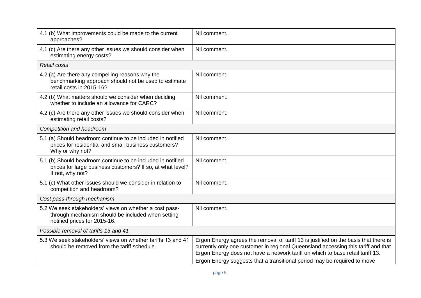| Nil comment.<br>Nil comment.                                                                                                                                                                                                                                                                                                            |  |  |
|-----------------------------------------------------------------------------------------------------------------------------------------------------------------------------------------------------------------------------------------------------------------------------------------------------------------------------------------|--|--|
|                                                                                                                                                                                                                                                                                                                                         |  |  |
|                                                                                                                                                                                                                                                                                                                                         |  |  |
|                                                                                                                                                                                                                                                                                                                                         |  |  |
| Nil comment.                                                                                                                                                                                                                                                                                                                            |  |  |
| Nil comment.                                                                                                                                                                                                                                                                                                                            |  |  |
| Nil comment.                                                                                                                                                                                                                                                                                                                            |  |  |
| Competition and headroom                                                                                                                                                                                                                                                                                                                |  |  |
| Nil comment.                                                                                                                                                                                                                                                                                                                            |  |  |
| Nil comment.                                                                                                                                                                                                                                                                                                                            |  |  |
| Nil comment.                                                                                                                                                                                                                                                                                                                            |  |  |
| Cost pass-through mechanism                                                                                                                                                                                                                                                                                                             |  |  |
| Nil comment.                                                                                                                                                                                                                                                                                                                            |  |  |
|                                                                                                                                                                                                                                                                                                                                         |  |  |
| Ergon Energy agrees the removal of tariff 13 is justified on the basis that there is<br>currently only one customer in regional Queensland accessing this tariff and that<br>Ergon Energy does not have a network tariff on which to base retail tariff 13.<br>Ergon Energy suggests that a transitional period may be required to move |  |  |
|                                                                                                                                                                                                                                                                                                                                         |  |  |